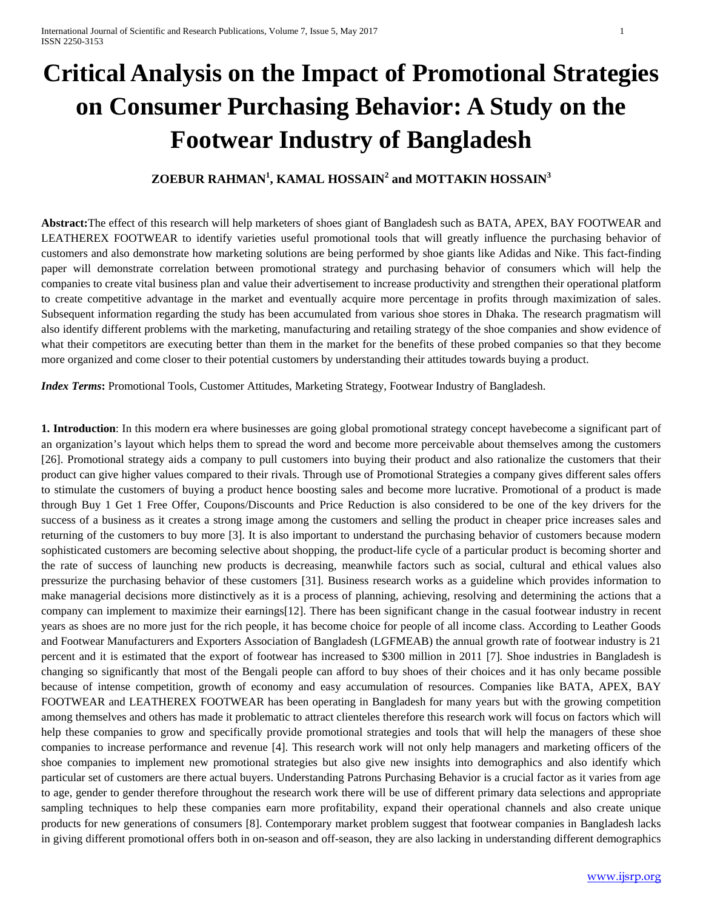# **Critical Analysis on the Impact of Promotional Strategies on Consumer Purchasing Behavior: A Study on the Footwear Industry of Bangladesh**

## **ZOEBUR RAHMAN<sup>1</sup> , KAMAL HOSSAIN<sup>2</sup> and MOTTAKIN HOSSAIN<sup>3</sup>**

**Abstract:**The effect of this research will help marketers of shoes giant of Bangladesh such as BATA, APEX, BAY FOOTWEAR and LEATHEREX FOOTWEAR to identify varieties useful promotional tools that will greatly influence the purchasing behavior of customers and also demonstrate how marketing solutions are being performed by shoe giants like Adidas and Nike. This fact-finding paper will demonstrate correlation between promotional strategy and purchasing behavior of consumers which will help the companies to create vital business plan and value their advertisement to increase productivity and strengthen their operational platform to create competitive advantage in the market and eventually acquire more percentage in profits through maximization of sales. Subsequent information regarding the study has been accumulated from various shoe stores in Dhaka. The research pragmatism will also identify different problems with the marketing, manufacturing and retailing strategy of the shoe companies and show evidence of what their competitors are executing better than them in the market for the benefits of these probed companies so that they become more organized and come closer to their potential customers by understanding their attitudes towards buying a product.

*Index Terms***:** Promotional Tools, Customer Attitudes, Marketing Strategy, Footwear Industry of Bangladesh.

**1. Introduction**: In this modern era where businesses are going global promotional strategy concept havebecome a significant part of an organization's layout which helps them to spread the word and become more perceivable about themselves among the customers [26]. Promotional strategy aids a company to pull customers into buying their product and also rationalize the customers that their product can give higher values compared to their rivals. Through use of Promotional Strategies a company gives different sales offers to stimulate the customers of buying a product hence boosting sales and become more lucrative. Promotional of a product is made through Buy 1 Get 1 Free Offer, Coupons/Discounts and Price Reduction is also considered to be one of the key drivers for the success of a business as it creates a strong image among the customers and selling the product in cheaper price increases sales and returning of the customers to buy more [3]. It is also important to understand the purchasing behavior of customers because modern sophisticated customers are becoming selective about shopping, the product-life cycle of a particular product is becoming shorter and the rate of success of launching new products is decreasing, meanwhile factors such as social, cultural and ethical values also pressurize the purchasing behavior of these customers [31]. Business research works as a guideline which provides information to make managerial decisions more distinctively as it is a process of planning, achieving, resolving and determining the actions that a company can implement to maximize their earnings[12]. There has been significant change in the casual footwear industry in recent years as shoes are no more just for the rich people, it has become choice for people of all income class. According to Leather Goods and Footwear Manufacturers and Exporters Association of Bangladesh (LGFMEAB) the annual growth rate of footwear industry is 21 percent and it is estimated that the export of footwear has increased to \$300 million in 2011 [7]. Shoe industries in Bangladesh is changing so significantly that most of the Bengali people can afford to buy shoes of their choices and it has only became possible because of intense competition, growth of economy and easy accumulation of resources. Companies like BATA, APEX, BAY FOOTWEAR and LEATHEREX FOOTWEAR has been operating in Bangladesh for many years but with the growing competition among themselves and others has made it problematic to attract clienteles therefore this research work will focus on factors which will help these companies to grow and specifically provide promotional strategies and tools that will help the managers of these shoe companies to increase performance and revenue [4]. This research work will not only help managers and marketing officers of the shoe companies to implement new promotional strategies but also give new insights into demographics and also identify which particular set of customers are there actual buyers. Understanding Patrons Purchasing Behavior is a crucial factor as it varies from age to age, gender to gender therefore throughout the research work there will be use of different primary data selections and appropriate sampling techniques to help these companies earn more profitability, expand their operational channels and also create unique products for new generations of consumers [8]. Contemporary market problem suggest that footwear companies in Bangladesh lacks in giving different promotional offers both in on-season and off-season, they are also lacking in understanding different demographics

[www.ijsrp.org](http://ijsrp.org/)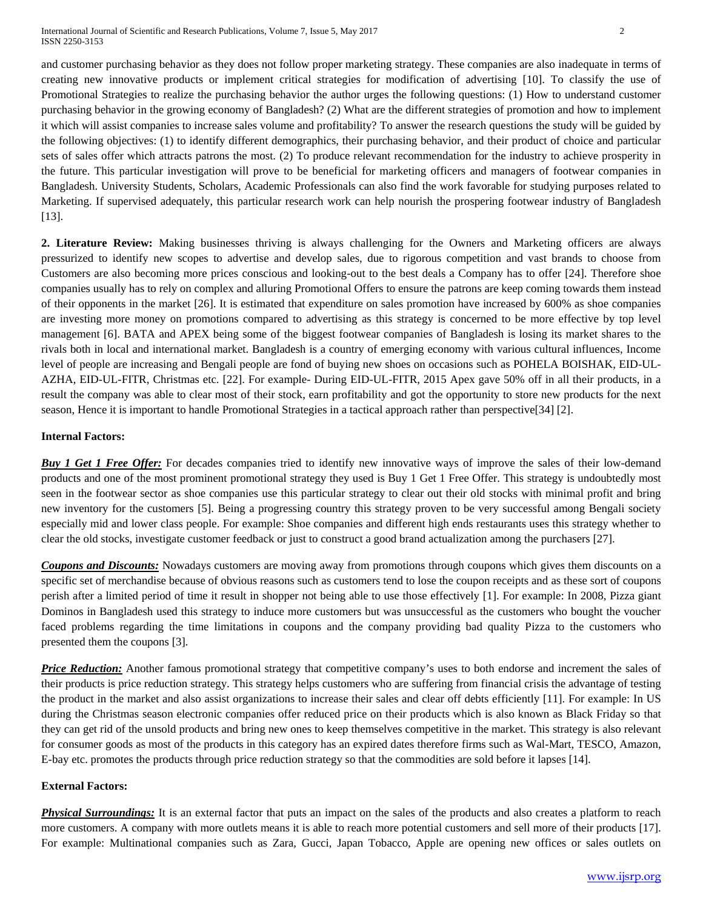and customer purchasing behavior as they does not follow proper marketing strategy. These companies are also inadequate in terms of creating new innovative products or implement critical strategies for modification of advertising [10]. To classify the use of Promotional Strategies to realize the purchasing behavior the author urges the following questions: (1) How to understand customer purchasing behavior in the growing economy of Bangladesh? (2) What are the different strategies of promotion and how to implement it which will assist companies to increase sales volume and profitability? To answer the research questions the study will be guided by the following objectives: (1) to identify different demographics, their purchasing behavior, and their product of choice and particular sets of sales offer which attracts patrons the most. (2) To produce relevant recommendation for the industry to achieve prosperity in the future. This particular investigation will prove to be beneficial for marketing officers and managers of footwear companies in Bangladesh. University Students, Scholars, Academic Professionals can also find the work favorable for studying purposes related to Marketing. If supervised adequately, this particular research work can help nourish the prospering footwear industry of Bangladesh [13].

**2. Literature Review:** Making businesses thriving is always challenging for the Owners and Marketing officers are always pressurized to identify new scopes to advertise and develop sales, due to rigorous competition and vast brands to choose from Customers are also becoming more prices conscious and looking-out to the best deals a Company has to offer [24]. Therefore shoe companies usually has to rely on complex and alluring Promotional Offers to ensure the patrons are keep coming towards them instead of their opponents in the market [26]. It is estimated that expenditure on sales promotion have increased by 600% as shoe companies are investing more money on promotions compared to advertising as this strategy is concerned to be more effective by top level management [6]. BATA and APEX being some of the biggest footwear companies of Bangladesh is losing its market shares to the rivals both in local and international market. Bangladesh is a country of emerging economy with various cultural influences, Income level of people are increasing and Bengali people are fond of buying new shoes on occasions such as POHELA BOISHAK, EID-UL-AZHA, EID-UL-FITR, Christmas etc. [22]. For example- During EID-UL-FITR, 2015 Apex gave 50% off in all their products, in a result the company was able to clear most of their stock, earn profitability and got the opportunity to store new products for the next season, Hence it is important to handle Promotional Strategies in a tactical approach rather than perspective[34] [2].

#### **Internal Factors:**

*Buy 1 Get 1 Free Offer:* For decades companies tried to identify new innovative ways of improve the sales of their low-demand products and one of the most prominent promotional strategy they used is Buy 1 Get 1 Free Offer. This strategy is undoubtedly most seen in the footwear sector as shoe companies use this particular strategy to clear out their old stocks with minimal profit and bring new inventory for the customers [5]. Being a progressing country this strategy proven to be very successful among Bengali society especially mid and lower class people. For example: Shoe companies and different high ends restaurants uses this strategy whether to clear the old stocks, investigate customer feedback or just to construct a good brand actualization among the purchasers [27].

*Coupons and Discounts:* Nowadays customers are moving away from promotions through coupons which gives them discounts on a specific set of merchandise because of obvious reasons such as customers tend to lose the coupon receipts and as these sort of coupons perish after a limited period of time it result in shopper not being able to use those effectively [1]. For example: In 2008, Pizza giant Dominos in Bangladesh used this strategy to induce more customers but was unsuccessful as the customers who bought the voucher faced problems regarding the time limitations in coupons and the company providing bad quality Pizza to the customers who presented them the coupons [3].

**Price Reduction:** Another famous promotional strategy that competitive company's uses to both endorse and increment the sales of their products is price reduction strategy. This strategy helps customers who are suffering from financial crisis the advantage of testing the product in the market and also assist organizations to increase their sales and clear off debts efficiently [11]. For example: In US during the Christmas season electronic companies offer reduced price on their products which is also known as Black Friday so that they can get rid of the unsold products and bring new ones to keep themselves competitive in the market. This strategy is also relevant for consumer goods as most of the products in this category has an expired dates therefore firms such as Wal-Mart, TESCO, Amazon, E-bay etc. promotes the products through price reduction strategy so that the commodities are sold before it lapses [14].

#### **External Factors:**

**Physical Surroundings:** It is an external factor that puts an impact on the sales of the products and also creates a platform to reach more customers. A company with more outlets means it is able to reach more potential customers and sell more of their products [17]. For example: Multinational companies such as Zara, Gucci, Japan Tobacco, Apple are opening new offices or sales outlets on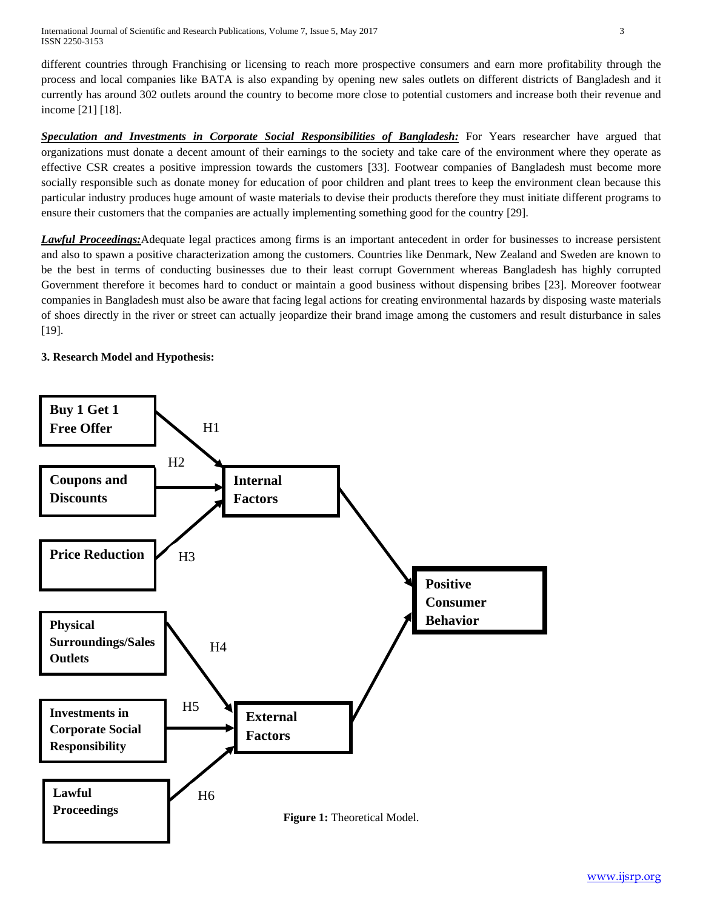International Journal of Scientific and Research Publications, Volume 7, Issue 5, May 2017 3 ISSN 2250-3153

different countries through Franchising or licensing to reach more prospective consumers and earn more profitability through the process and local companies like BATA is also expanding by opening new sales outlets on different districts of Bangladesh and it currently has around 302 outlets around the country to become more close to potential customers and increase both their revenue and income [21] [18].

*Speculation and Investments in Corporate Social Responsibilities of Bangladesh:* For Years researcher have argued that organizations must donate a decent amount of their earnings to the society and take care of the environment where they operate as effective CSR creates a positive impression towards the customers [33]. Footwear companies of Bangladesh must become more socially responsible such as donate money for education of poor children and plant trees to keep the environment clean because this particular industry produces huge amount of waste materials to devise their products therefore they must initiate different programs to ensure their customers that the companies are actually implementing something good for the country [29].

*Lawful Proceedings:*Adequate legal practices among firms is an important antecedent in order for businesses to increase persistent and also to spawn a positive characterization among the customers. Countries like Denmark, New Zealand and Sweden are known to be the best in terms of conducting businesses due to their least corrupt Government whereas Bangladesh has highly corrupted Government therefore it becomes hard to conduct or maintain a good business without dispensing bribes [23]. Moreover footwear companies in Bangladesh must also be aware that facing legal actions for creating environmental hazards by disposing waste materials of shoes directly in the river or street can actually jeopardize their brand image among the customers and result disturbance in sales [19].

## **3. Research Model and Hypothesis:**

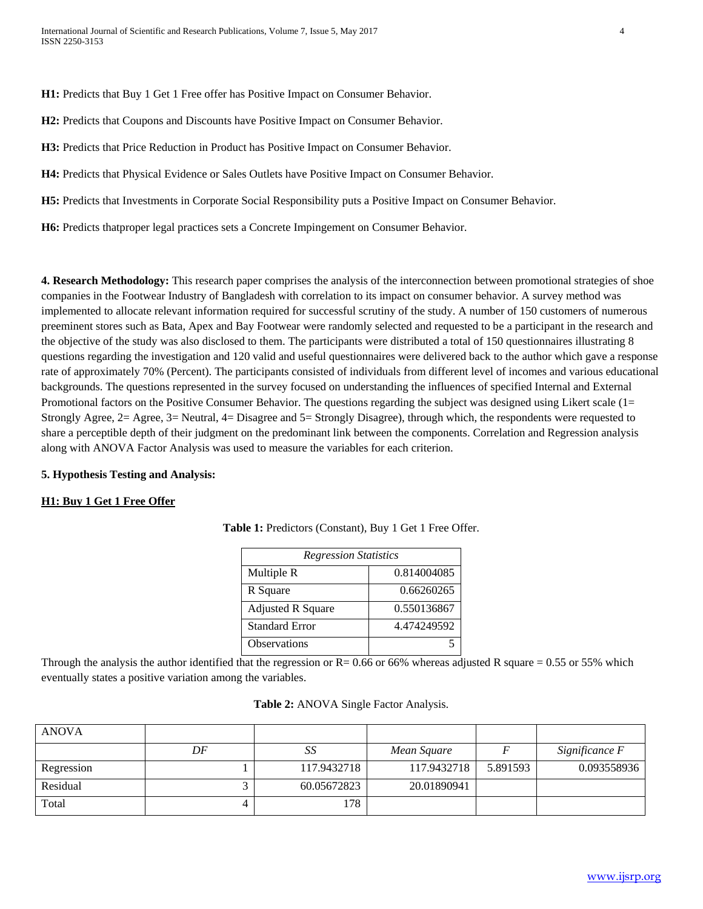**H1:** Predicts that Buy 1 Get 1 Free offer has Positive Impact on Consumer Behavior.

**H2:** Predicts that Coupons and Discounts have Positive Impact on Consumer Behavior.

**H3:** Predicts that Price Reduction in Product has Positive Impact on Consumer Behavior.

**H4:** Predicts that Physical Evidence or Sales Outlets have Positive Impact on Consumer Behavior.

**H5:** Predicts that Investments in Corporate Social Responsibility puts a Positive Impact on Consumer Behavior.

**H6:** Predicts thatproper legal practices sets a Concrete Impingement on Consumer Behavior.

**4. Research Methodology:** This research paper comprises the analysis of the interconnection between promotional strategies of shoe companies in the Footwear Industry of Bangladesh with correlation to its impact on consumer behavior. A survey method was implemented to allocate relevant information required for successful scrutiny of the study. A number of 150 customers of numerous preeminent stores such as Bata, Apex and Bay Footwear were randomly selected and requested to be a participant in the research and the objective of the study was also disclosed to them. The participants were distributed a total of 150 questionnaires illustrating 8 questions regarding the investigation and 120 valid and useful questionnaires were delivered back to the author which gave a response rate of approximately 70% (Percent). The participants consisted of individuals from different level of incomes and various educational backgrounds. The questions represented in the survey focused on understanding the influences of specified Internal and External Promotional factors on the Positive Consumer Behavior. The questions regarding the subject was designed using Likert scale (1= Strongly Agree, 2= Agree, 3= Neutral, 4= Disagree and 5= Strongly Disagree), through which, the respondents were requested to share a perceptible depth of their judgment on the predominant link between the components. Correlation and Regression analysis along with ANOVA Factor Analysis was used to measure the variables for each criterion.

## **5. Hypothesis Testing and Analysis:**

## **H1: Buy 1 Get 1 Free Offer**

| <b>Regression Statistics</b> |             |  |  |
|------------------------------|-------------|--|--|
| Multiple R                   | 0.814004085 |  |  |
| R Square                     | 0.66260265  |  |  |
| <b>Adjusted R Square</b>     | 0.550136867 |  |  |
| <b>Standard Error</b>        | 4.474249592 |  |  |
| <b>Observations</b>          |             |  |  |

**Table 1:** Predictors (Constant), Buy 1 Get 1 Free Offer.

Through the analysis the author identified that the regression or  $R = 0.66$  or 66% whereas adjusted R square = 0.55 or 55% which eventually states a positive variation among the variables.

| Table 2: ANOVA Single Factor Analysis. |  |  |
|----------------------------------------|--|--|
|----------------------------------------|--|--|

| <b>ANOVA</b> |    |             |             |          |                |
|--------------|----|-------------|-------------|----------|----------------|
|              | DF | ມມ          | Mean Square |          | Significance F |
| Regression   |    | 117.9432718 | 117.9432718 | 5.891593 | 0.093558936    |
| Residual     |    | 60.05672823 | 20.01890941 |          |                |
| Total        |    | 178         |             |          |                |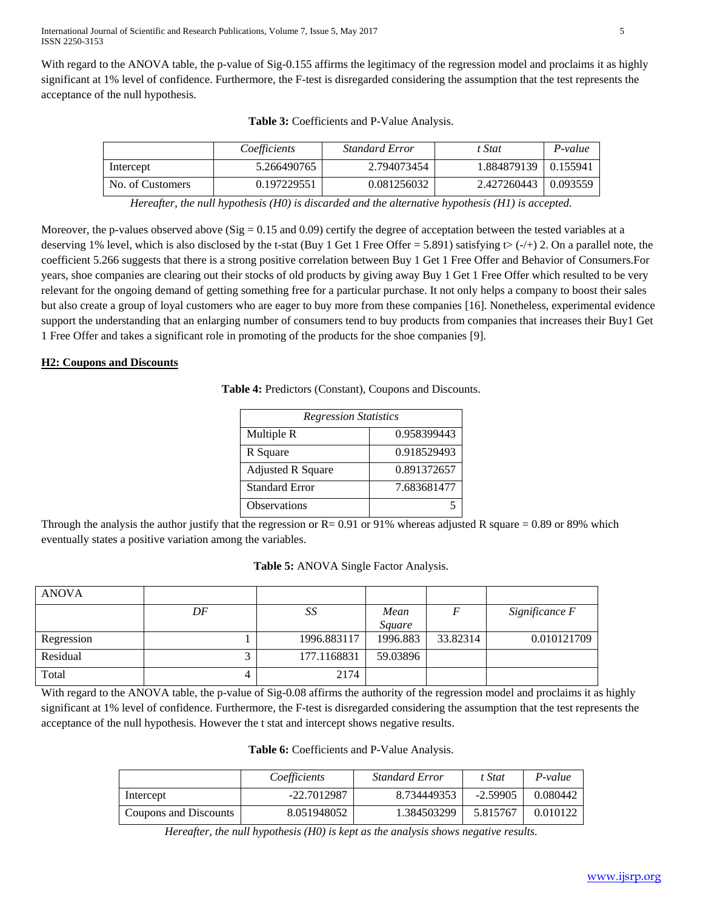With regard to the ANOVA table, the p-value of Sig-0.155 affirms the legitimacy of the regression model and proclaims it as highly significant at 1% level of confidence. Furthermore, the F-test is disregarded considering the assumption that the test represents the acceptance of the null hypothesis.

|                  | Coefficients | <b>Standard Error</b> | t Stat      | P-value        |
|------------------|--------------|-----------------------|-------------|----------------|
| Intercept        | 5.266490765  | 2.794073454           | 1.884879139 | $\pm 0.155941$ |
| No. of Customers | 0.197229551  | 0.081256032           | 2.427260443 | 0.093559       |

|  |  |  | Table 3: Coefficients and P-Value Analysis. |
|--|--|--|---------------------------------------------|
|--|--|--|---------------------------------------------|

*Hereafter, the null hypothesis (H0) is discarded and the alternative hypothesis (H1) is accepted.*

Moreover, the p-values observed above ( $Sig = 0.15$  and 0.09) certify the degree of acceptation between the tested variables at a deserving 1% level, which is also disclosed by the t-stat (Buy 1 Get 1 Free Offer = 5.891) satisfying t> (-/+) 2. On a parallel note, the coefficient 5.266 suggests that there is a strong positive correlation between Buy 1 Get 1 Free Offer and Behavior of Consumers.For years, shoe companies are clearing out their stocks of old products by giving away Buy 1 Get 1 Free Offer which resulted to be very relevant for the ongoing demand of getting something free for a particular purchase. It not only helps a company to boost their sales but also create a group of loyal customers who are eager to buy more from these companies [16]. Nonetheless, experimental evidence support the understanding that an enlarging number of consumers tend to buy products from companies that increases their Buy1 Get 1 Free Offer and takes a significant role in promoting of the products for the shoe companies [9].

## **H2: Coupons and Discounts**

| Table 4: Predictors (Constant), Coupons and Discounts. |  |
|--------------------------------------------------------|--|
|--------------------------------------------------------|--|

| <b>Regression Statistics</b> |             |  |  |
|------------------------------|-------------|--|--|
| Multiple R                   | 0.958399443 |  |  |
| R Square                     | 0.918529493 |  |  |
| <b>Adjusted R Square</b>     | 0.891372657 |  |  |
| <b>Standard Error</b>        | 7.683681477 |  |  |
| <b>Observations</b>          |             |  |  |

Through the analysis the author justify that the regression or  $R = 0.91$  or 91% whereas adjusted R square = 0.89 or 89% which eventually states a positive variation among the variables.

## **Table 5:** ANOVA Single Factor Analysis.

| <b>ANOVA</b> |    |             |                |          |                |
|--------------|----|-------------|----------------|----------|----------------|
|              | DF | SS          | Mean<br>Sauare |          | Significance F |
| Regression   |    | 1996.883117 | 1996.883       | 33.82314 | 0.010121709    |
| Residual     |    | 177.1168831 | 59.03896       |          |                |
| Total        |    | 2174        |                |          |                |

With regard to the ANOVA table, the p-value of Sig-0.08 affirms the authority of the regression model and proclaims it as highly significant at 1% level of confidence. Furthermore, the F-test is disregarded considering the assumption that the test represents the acceptance of the null hypothesis. However the t stat and intercept shows negative results.

|  |  |  | Table 6: Coefficients and P-Value Analysis. |
|--|--|--|---------------------------------------------|
|--|--|--|---------------------------------------------|

|                       | Coefficients | <b>Standard Error</b> | t Stat     | P-value  |
|-----------------------|--------------|-----------------------|------------|----------|
| Intercept             | -22.7012987  | 8.734449353           | $-2.59905$ | 0.080442 |
| Coupons and Discounts | 8.051948052  | 1.384503299           | 5.815767   | 0.010122 |

*Hereafter, the null hypothesis (H0) is kept as the analysis shows negative results.*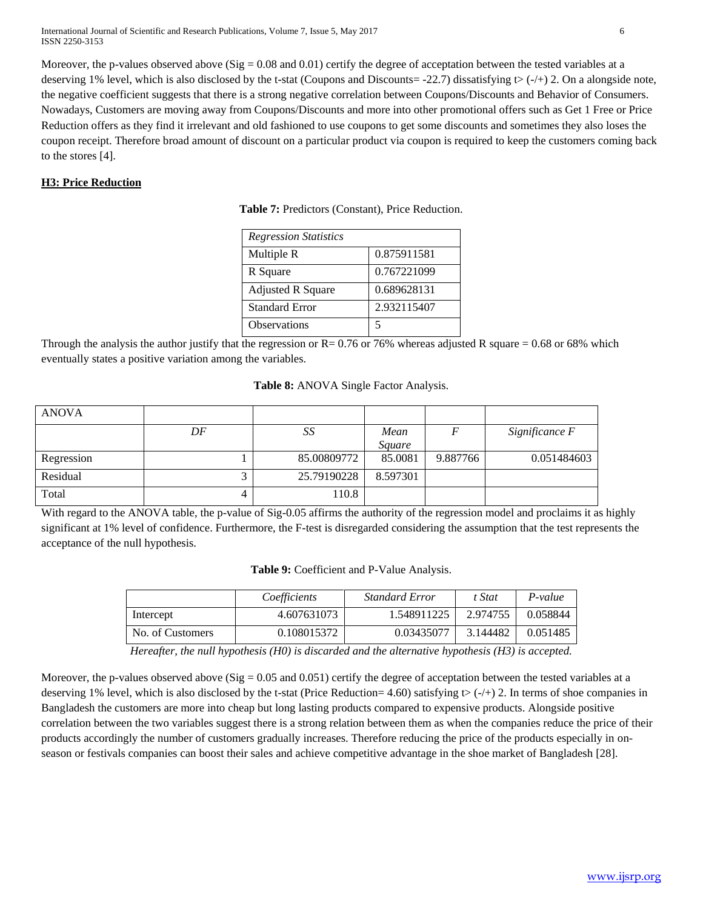International Journal of Scientific and Research Publications, Volume 7, Issue 5, May 2017 6 ISSN 2250-3153

Moreover, the p-values observed above ( $Sig = 0.08$  and  $(0.01)$  certify the degree of acceptation between the tested variables at a deserving 1% level, which is also disclosed by the t-stat (Coupons and Discounts= -22.7) dissatisfying  $\triangleright$  (-/+) 2. On a alongside note, the negative coefficient suggests that there is a strong negative correlation between Coupons/Discounts and Behavior of Consumers. Nowadays, Customers are moving away from Coupons/Discounts and more into other promotional offers such as Get 1 Free or Price Reduction offers as they find it irrelevant and old fashioned to use coupons to get some discounts and sometimes they also loses the coupon receipt. Therefore broad amount of discount on a particular product via coupon is required to keep the customers coming back to the stores [4].

## **H3: Price Reduction**

**Table 7:** Predictors (Constant), Price Reduction.

| <b>Regression Statistics</b> |             |
|------------------------------|-------------|
| Multiple R                   | 0.875911581 |
| R Square                     | 0.767221099 |
| <b>Adjusted R Square</b>     | 0.689628131 |
| <b>Standard Error</b>        | 2.932115407 |
| <b>Observations</b>          | 5           |

Through the analysis the author justify that the regression or  $R = 0.76$  or 76% whereas adjusted R square = 0.68 or 68% which eventually states a positive variation among the variables.

|  |  |  |  | Table 8: ANOVA Single Factor Analysis. |
|--|--|--|--|----------------------------------------|
|--|--|--|--|----------------------------------------|

| <b>ANOVA</b> |    |             |          |          |                |
|--------------|----|-------------|----------|----------|----------------|
|              | DF | SS          | Mean     |          | Significance F |
|              |    |             | Square   |          |                |
| Regression   |    | 85.00809772 | 85.0081  | 9.887766 | 0.051484603    |
| Residual     |    | 25.79190228 | 8.597301 |          |                |
| Total        |    | 110.8       |          |          |                |

With regard to the ANOVA table, the p-value of Sig-0.05 affirms the authority of the regression model and proclaims it as highly significant at 1% level of confidence. Furthermore, the F-test is disregarded considering the assumption that the test represents the acceptance of the null hypothesis.

| Table 9: Coefficient and P-Value Analysis. |  |
|--------------------------------------------|--|
|--------------------------------------------|--|

|                  | Coefficients | <b>Standard Error</b> | t Stat   | P-value  |
|------------------|--------------|-----------------------|----------|----------|
| Intercept        | 4.607631073  | 1.548911225           | 2.974755 | 0.058844 |
| No. of Customers | 0.108015372  | 0.03435077            | 3.144482 | 0.051485 |

*Hereafter, the null hypothesis (H0) is discarded and the alternative hypothesis (H3) is accepted.*

Moreover, the p-values observed above (Sig =  $0.05$  and  $0.051$ ) certify the degree of acceptation between the tested variables at a deserving 1% level, which is also disclosed by the t-stat (Price Reduction= 4.60) satisfying  $\triangleright$  (-/+) 2. In terms of shoe companies in Bangladesh the customers are more into cheap but long lasting products compared to expensive products. Alongside positive correlation between the two variables suggest there is a strong relation between them as when the companies reduce the price of their products accordingly the number of customers gradually increases. Therefore reducing the price of the products especially in onseason or festivals companies can boost their sales and achieve competitive advantage in the shoe market of Bangladesh [28].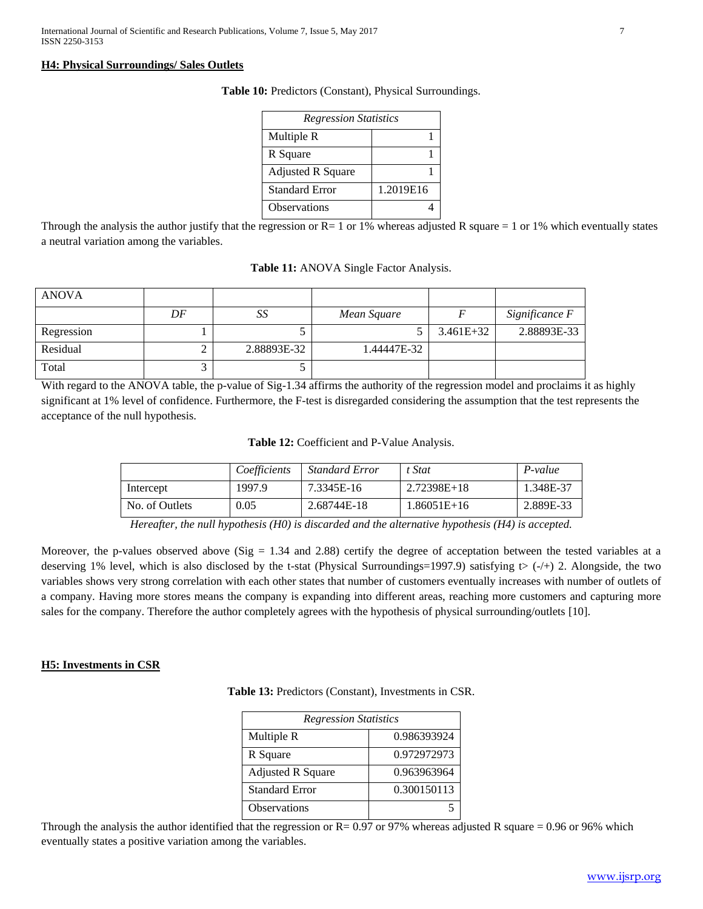## **H4: Physical Surroundings/ Sales Outlets**

| <b>Regression Statistics</b> |           |  |  |  |  |
|------------------------------|-----------|--|--|--|--|
| Multiple R                   |           |  |  |  |  |
| R Square                     |           |  |  |  |  |
| <b>Adjusted R Square</b>     |           |  |  |  |  |
| Standard Error               | 1.2019E16 |  |  |  |  |
| <b>Observations</b>          |           |  |  |  |  |

**Table 10:** Predictors (Constant), Physical Surroundings.

Through the analysis the author justify that the regression or  $R=1$  or 1% whereas adjusted R square  $= 1$  or 1% which eventually states a neutral variation among the variables.

| <b>Standard Error</b>                           | 1.2019E16 |  |
|-------------------------------------------------|-----------|--|
| <b>Observations</b>                             |           |  |
| e regression or $R-1$ or $1\%$ whereas adjusted |           |  |

| Table 11: ANOVA Single Factor Analysis. |  |  |  |  |
|-----------------------------------------|--|--|--|--|
|-----------------------------------------|--|--|--|--|

| <b>ANOVA</b> |    |             |             |               |                |
|--------------|----|-------------|-------------|---------------|----------------|
|              | DF | SS          | Mean Square |               | Significance F |
| Regression   |    |             |             | $3.461E + 32$ | 2.88893E-33    |
| Residual     |    | 2.88893E-32 | 1.44447E-32 |               |                |
| Total        |    |             |             |               |                |

With regard to the ANOVA table, the p-value of Sig-1.34 affirms the authority of the regression model and proclaims it as highly significant at 1% level of confidence. Furthermore, the F-test is disregarded considering the assumption that the test represents the acceptance of the null hypothesis.

**Table 12:** Coefficient and P-Value Analysis.

|                | Coefficients | <b>Standard Error</b> | t Stat      | $P-value$ |
|----------------|--------------|-----------------------|-------------|-----------|
| Intercept      | 1997.9       | 7.3345E-16            | 2.72398E+18 | 1.348E-37 |
| No. of Outlets | 0.05         | 2.68744E-18           | 1.86051E+16 | 2.889E-33 |

*Hereafter, the null hypothesis (H0) is discarded and the alternative hypothesis (H4) is accepted.*

Moreover, the p-values observed above (Sig  $= 1.34$  and 2.88) certify the degree of acceptation between the tested variables at a deserving 1% level, which is also disclosed by the t-stat (Physical Surroundings=1997.9) satisfying  $\leftrightarrow$  (-/+) 2. Alongside, the two variables shows very strong correlation with each other states that number of customers eventually increases with number of outlets of a company. Having more stores means the company is expanding into different areas, reaching more customers and capturing more sales for the company. Therefore the author completely agrees with the hypothesis of physical surrounding/outlets [10].

## **H5: Investments in CSR**

**Table 13:** Predictors (Constant), Investments in CSR.

| <b>Regression Statistics</b> |             |  |  |
|------------------------------|-------------|--|--|
| Multiple R                   | 0.986393924 |  |  |
| R Square                     | 0.972972973 |  |  |
| <b>Adjusted R Square</b>     | 0.963963964 |  |  |
| <b>Standard Error</b>        | 0.300150113 |  |  |
| <b>Observations</b>          |             |  |  |

Through the analysis the author identified that the regression or  $R = 0.97$  or 97% whereas adjusted R square = 0.96 or 96% which eventually states a positive variation among the variables.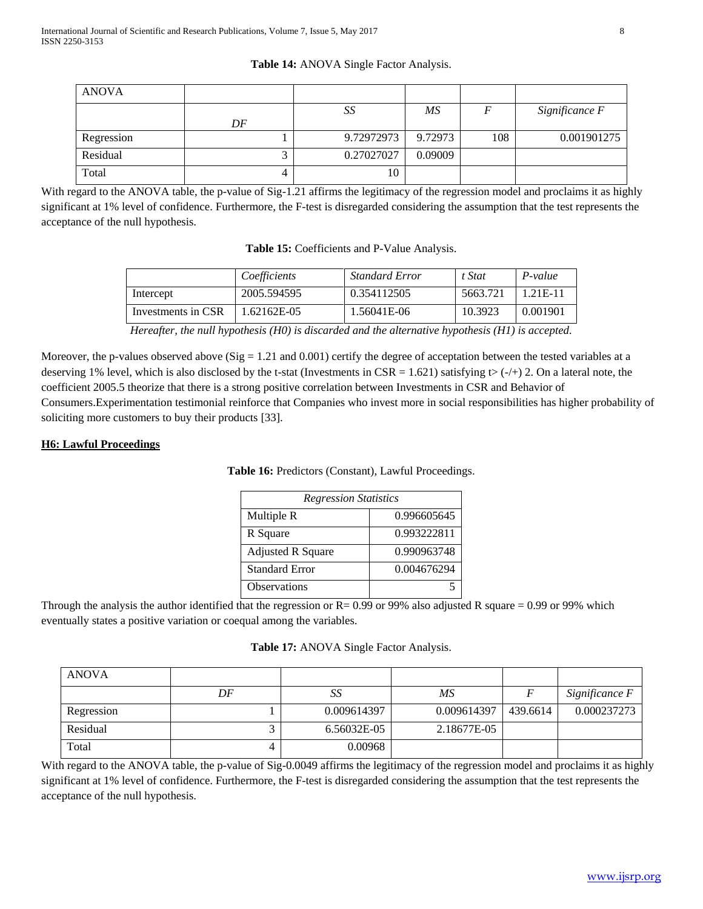## **Table 14:** ANOVA Single Factor Analysis.

| <b>ANOVA</b> |    |            |         |     |                |
|--------------|----|------------|---------|-----|----------------|
|              |    | SS         | ΜS      |     | Significance F |
|              | DF |            |         |     |                |
| Regression   |    | 9.72972973 | 9.72973 | 108 | 0.001901275    |
| Residual     |    | 0.27027027 | 0.09009 |     |                |
| Total        | 4  | 10         |         |     |                |

With regard to the ANOVA table, the p-value of Sig-1.21 affirms the legitimacy of the regression model and proclaims it as highly significant at 1% level of confidence. Furthermore, the F-test is disregarded considering the assumption that the test represents the acceptance of the null hypothesis.

|  |  |  | Table 15: Coefficients and P-Value Analysis. |
|--|--|--|----------------------------------------------|
|--|--|--|----------------------------------------------|

|                    | Coefficients | <b>Standard Error</b> | t Stat   | P-value  |
|--------------------|--------------|-----------------------|----------|----------|
| Intercept          | 2005.594595  | 0.354112505           | 5663.721 | 1.21E-11 |
| Investments in CSR | 1.62162E-05  | 1.56041E-06           | 10.3923  | 0.001901 |

*Hereafter, the null hypothesis (H0) is discarded and the alternative hypothesis (H1) is accepted.*

Moreover, the p-values observed above  $(Sig = 1.21$  and  $(0.001)$  certify the degree of acceptation between the tested variables at a deserving 1% level, which is also disclosed by the t-stat (Investments in CSR = 1.621) satisfying  $\triangleright$  (-/+) 2. On a lateral note, the coefficient 2005.5 theorize that there is a strong positive correlation between Investments in CSR and Behavior of Consumers.Experimentation testimonial reinforce that Companies who invest more in social responsibilities has higher probability of soliciting more customers to buy their products [33].

## **H6: Lawful Proceedings**

## **Table 16:** Predictors (Constant), Lawful Proceedings.

| <b>Regression Statistics</b> |             |  |  |
|------------------------------|-------------|--|--|
| Multiple R                   | 0.996605645 |  |  |
| R Square                     | 0.993222811 |  |  |
| <b>Adjusted R Square</b>     | 0.990963748 |  |  |
| <b>Standard Error</b>        | 0.004676294 |  |  |
| <b>Observations</b>          |             |  |  |

Through the analysis the author identified that the regression or  $R = 0.99$  or 99% also adjusted R square = 0.99 or 99% which eventually states a positive variation or coequal among the variables.

| Table 17: ANOVA Single Factor Analysis. |  |  |  |  |
|-----------------------------------------|--|--|--|--|
|-----------------------------------------|--|--|--|--|

| <b>ANOVA</b> |    |             |             |          |                |
|--------------|----|-------------|-------------|----------|----------------|
|              | DF | Sδ          | ΜS          |          | Significance F |
| Regression   |    | 0.009614397 | 0.009614397 | 439.6614 | 0.000237273    |
| Residual     |    | 6.56032E-05 | 2.18677E-05 |          |                |
| Total        |    | 0.00968     |             |          |                |

With regard to the ANOVA table, the p-value of Sig-0.0049 affirms the legitimacy of the regression model and proclaims it as highly significant at 1% level of confidence. Furthermore, the F-test is disregarded considering the assumption that the test represents the acceptance of the null hypothesis.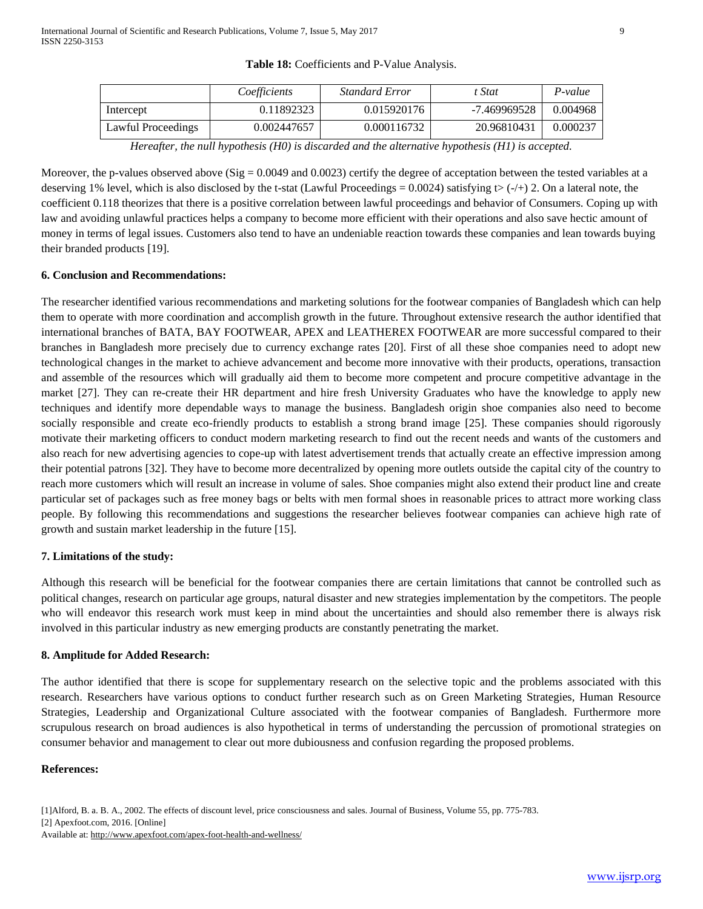|                    | Coefficients | <b>Standard Error</b> | t Stat       | P-value  |
|--------------------|--------------|-----------------------|--------------|----------|
| Intercept          | 0.11892323   | 0.015920176           | -7.469969528 | 0.004968 |
| Lawful Proceedings | 0.002447657  | 0.000116732           | 20.96810431  | 0.000237 |

**Table 18:** Coefficients and P-Value Analysis.

*Hereafter, the null hypothesis (H0) is discarded and the alternative hypothesis (H1) is accepted.*

Moreover, the p-values observed above  $(Sig = 0.0049$  and  $(0.0023)$  certify the degree of acceptation between the tested variables at a deserving 1% level, which is also disclosed by the t-stat (Lawful Proceedings = 0.0024) satisfying  $\triangleright$  (-/+) 2. On a lateral note, the coefficient 0.118 theorizes that there is a positive correlation between lawful proceedings and behavior of Consumers. Coping up with law and avoiding unlawful practices helps a company to become more efficient with their operations and also save hectic amount of money in terms of legal issues. Customers also tend to have an undeniable reaction towards these companies and lean towards buying their branded products [19].

## **6. Conclusion and Recommendations:**

The researcher identified various recommendations and marketing solutions for the footwear companies of Bangladesh which can help them to operate with more coordination and accomplish growth in the future. Throughout extensive research the author identified that international branches of BATA, BAY FOOTWEAR, APEX and LEATHEREX FOOTWEAR are more successful compared to their branches in Bangladesh more precisely due to currency exchange rates [20]. First of all these shoe companies need to adopt new technological changes in the market to achieve advancement and become more innovative with their products, operations, transaction and assemble of the resources which will gradually aid them to become more competent and procure competitive advantage in the market [27]. They can re-create their HR department and hire fresh University Graduates who have the knowledge to apply new techniques and identify more dependable ways to manage the business. Bangladesh origin shoe companies also need to become socially responsible and create eco-friendly products to establish a strong brand image [25]. These companies should rigorously motivate their marketing officers to conduct modern marketing research to find out the recent needs and wants of the customers and also reach for new advertising agencies to cope-up with latest advertisement trends that actually create an effective impression among their potential patrons [32]. They have to become more decentralized by opening more outlets outside the capital city of the country to reach more customers which will result an increase in volume of sales. Shoe companies might also extend their product line and create particular set of packages such as free money bags or belts with men formal shoes in reasonable prices to attract more working class people. By following this recommendations and suggestions the researcher believes footwear companies can achieve high rate of growth and sustain market leadership in the future [15].

## **7. Limitations of the study:**

Although this research will be beneficial for the footwear companies there are certain limitations that cannot be controlled such as political changes, research on particular age groups, natural disaster and new strategies implementation by the competitors. The people who will endeavor this research work must keep in mind about the uncertainties and should also remember there is always risk involved in this particular industry as new emerging products are constantly penetrating the market.

## **8. Amplitude for Added Research:**

The author identified that there is scope for supplementary research on the selective topic and the problems associated with this research. Researchers have various options to conduct further research such as on Green Marketing Strategies, Human Resource Strategies, Leadership and Organizational Culture associated with the footwear companies of Bangladesh. Furthermore more scrupulous research on broad audiences is also hypothetical in terms of understanding the percussion of promotional strategies on consumer behavior and management to clear out more dubiousness and confusion regarding the proposed problems.

## **References:**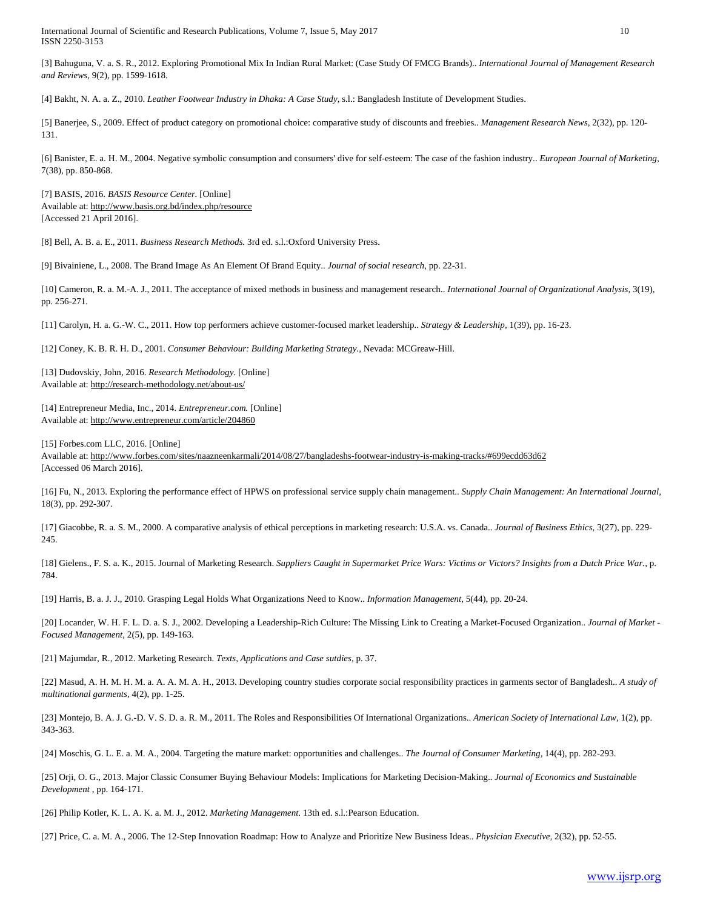International Journal of Scientific and Research Publications, Volume 7, Issue 5, May 2017 10 ISSN 2250-3153

[3] Bahuguna, V. a. S. R., 2012. Exploring Promotional Mix In Indian Rural Market: (Case Study Of FMCG Brands).. *International Journal of Management Research and Reviews,* 9(2), pp. 1599-1618.

[4] Bakht, N. A. a. Z., 2010. *Leather Footwear Industry in Dhaka: A Case Study,* s.l.: Bangladesh Institute of Development Studies.

[5] Banerjee, S., 2009. Effect of product category on promotional choice: comparative study of discounts and freebies.. *Management Research News,* 2(32), pp. 120- 131.

[6] Banister, E. a. H. M., 2004. Negative symbolic consumption and consumers' dive for self-esteem: The case of the fashion industry.. *European Journal of Marketing,*  7(38), pp. 850-868.

[7] BASIS, 2016. *BASIS Resource Center.* [Online] Available at: http://www.basis.org.bd/index.php/resource [Accessed 21 April 2016].

[8] Bell, A. B. a. E., 2011. *Business Research Methods.* 3rd ed. s.l.:Oxford University Press.

[9] Bivainiene, L., 2008. The Brand Image As An Element Of Brand Equity.. *Journal of social research,* pp. 22-31.

[10] Cameron, R. a. M.-A. J., 2011. The acceptance of mixed methods in business and management research.. *International Journal of Organizational Analysis,* 3(19), pp. 256-271.

[11] Carolyn, H. a. G.-W. C., 2011. How top performers achieve customer-focused market leadership.. *Strategy & Leadership,* 1(39), pp. 16-23.

[12] Coney, K. B. R. H. D., 2001. *Consumer Behaviour: Building Marketing Strategy.,* Nevada: MCGreaw-Hill.

[13] Dudovskiy, John, 2016. *Research Methodology.* [Online] Available at: http://research-methodology.net/about-us/

[14] Entrepreneur Media, Inc., 2014. *Entrepreneur.com.* [Online] Available at: http://www.entrepreneur.com/article/204860

[15] Forbes.com LLC, 2016. [Online]

Available at: http://www.forbes.com/sites/naazneenkarmali/2014/08/27/bangladeshs-footwear-industry-is-making-tracks/#699ecdd63d62 [Accessed 06 March 2016].

[16] Fu, N., 2013. Exploring the performance effect of HPWS on professional service supply chain management.. *Supply Chain Management: An International Journal,*  18(3), pp. 292-307.

[17] Giacobbe, R. a. S. M., 2000. A comparative analysis of ethical perceptions in marketing research: U.S.A. vs. Canada.. *Journal of Business Ethics,* 3(27), pp. 229- 245.

[18] Gielens., F. S. a. K., 2015. Journal of Marketing Research. *Suppliers Caught in Supermarket Price Wars: Victims or Victors? Insights from a Dutch Price War.,* p. 784.

[19] Harris, B. a. J. J., 2010. Grasping Legal Holds What Organizations Need to Know.. *Information Management,* 5(44), pp. 20-24.

[20] Locander, W. H. F. L. D. a. S. J., 2002. Developing a Leadership-Rich Culture: The Missing Link to Creating a Market-Focused Organization.. *Journal of Market - Focused Management,* 2(5), pp. 149-163.

[21] Majumdar, R., 2012. Marketing Research. *Texts, Applications and Case sutdies,* p. 37.

[22] Masud, A. H. M. H. M. a. A. A. M. A. H., 2013. Developing country studies corporate social responsibility practices in garments sector of Bangladesh.. *A study of multinational garments,* 4(2), pp. 1-25.

[23] Montejo, B. A. J. G.-D. V. S. D. a. R. M., 2011. The Roles and Responsibilities Of International Organizations.. *American Society of International Law,* 1(2), pp. 343-363.

[24] Moschis, G. L. E. a. M. A., 2004. Targeting the mature market: opportunities and challenges.. *The Journal of Consumer Marketing,* 14(4), pp. 282-293.

[25] Orji, O. G., 2013. Major Classic Consumer Buying Behaviour Models: Implications for Marketing Decision-Making.. *Journal of Economics and Sustainable Development ,* pp. 164-171.

[26] Philip Kotler, K. L. A. K. a. M. J., 2012. *Marketing Management.* 13th ed. s.l.:Pearson Education.

[27] Price, C. a. M. A., 2006. The 12-Step Innovation Roadmap: How to Analyze and Prioritize New Business Ideas.. *Physician Executive,* 2(32), pp. 52-55.